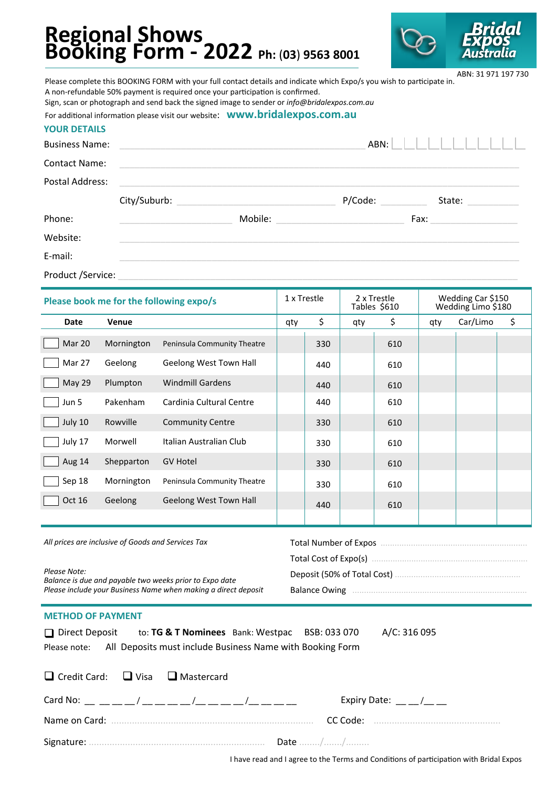# **Regional Shows Booking Form - 2022 Ph:** (**03**) **9563 8001**



Business Name: \_\_\_\_\_\_\_\_\_\_\_\_\_\_\_\_\_\_\_\_\_\_\_\_\_\_\_\_\_\_\_\_\_\_\_\_\_\_\_\_\_\_\_\_\_\_\_\_ ABN: Contact Name: Postal Address: City/Suburb: \_\_\_\_\_\_\_\_\_\_\_\_\_\_\_\_\_\_\_\_\_\_\_\_\_\_\_\_\_\_\_ P/Code: \_\_\_\_\_\_\_\_\_ State: \_\_\_\_\_\_\_\_\_\_ Phone: The Contract of the Mobile: The Mobile: The Contract of the Contract of the Contract of the Contract of Tax: The Contract of the Contract of the Contract of the Contract of the Contract of the Contract of the Contra Website: when the contract of the contract of the contract of the contract of the contract of the contract of the contract of the contract of the contract of the contract of the contract of the contract of the contract of Please complete this BOOKING FORM with your full contact details and indicate which Expo/s you wish to participate in. A non-refundable 50% payment is required once your participation is confirmed. Sign, scan or photograph and send back the signed image to sender or *info@bridalexpos.com.au*  For additional information please visit our website: **www.bridalexpos.com.au YOUR DETAILS** ABN: 31 971 197 730

E-mail: www.tartachur.com/watch/2002/03/2012 03/2012 03/2012 03/2012 03/2012 04:00:00 04:00:00 05:00:00 05:00:00

Product /Service:

| Please book me for the following expo/s |              | 1 x Trestle                 |     | 2 x Trestle<br>Tables \$610 |     | Wedding Car \$150<br>Wedding Limo \$180 |     |          |    |
|-----------------------------------------|--------------|-----------------------------|-----|-----------------------------|-----|-----------------------------------------|-----|----------|----|
| Date                                    | <b>Venue</b> |                             | qty | \$                          | qty | \$                                      | qty | Car/Limo | \$ |
| Mar 20                                  | Mornington   | Peninsula Community Theatre |     | 330                         |     | 610                                     |     |          |    |
| Mar 27                                  | Geelong      | Geelong West Town Hall      |     | 440                         |     | 610                                     |     |          |    |
| May 29                                  | Plumpton     | <b>Windmill Gardens</b>     |     | 440                         |     | 610                                     |     |          |    |
| Jun 5                                   | Pakenham     | Cardinia Cultural Centre    |     | 440                         |     | 610                                     |     |          |    |
| July 10                                 | Rowville     | <b>Community Centre</b>     |     | 330                         |     | 610                                     |     |          |    |
| July 17                                 | Morwell      | Italian Australian Club     |     | 330                         |     | 610                                     |     |          |    |
| Aug 14                                  | Shepparton   | <b>GV Hotel</b>             |     | 330                         |     | 610                                     |     |          |    |
| Sep 18                                  | Mornington   | Peninsula Community Theatre |     | 330                         |     | 610                                     |     |          |    |
| <b>Oct 16</b>                           | Geelong      | Geelong West Town Hall      |     | 440                         |     | 610                                     |     |          |    |
|                                         |              |                             |     |                             |     |                                         |     |          |    |
|                                         |              |                             |     |                             |     |                                         |     |          |    |

| All prices are inclusive of Goods and Services Tax                      | Total Number of Expos. |  |  |
|-------------------------------------------------------------------------|------------------------|--|--|
|                                                                         |                        |  |  |
| Please Note:<br>Balance is due and payable two weeks prior to Expo date |                        |  |  |
| Please include your Business Name when making a direct deposit          | <b>Balance Owing</b>   |  |  |
|                                                                         |                        |  |  |

#### **METHOD OF PAYMENT**

 $\Box$  Credit Card:

| $\Box$ Direct Deposit | to: TG & T Nominees Bank: Westpac                         | BSB: 033 070 |  |
|-----------------------|-----------------------------------------------------------|--------------|--|
| Please note:          | All Deposits must include Business Name with Booking Form |              |  |

 $\Box$  Visa  $\Box$  Mastercard

Direct Deposit to: **TG & T Nominees** Bank: Westpac BSB: 033 070 A/C: 316 095

| Card No: $\sqrt{2}$ / $\sqrt{2}$ / $\sqrt{2}$ / $\sqrt{2}$ / $\sqrt{2}$ / $\sqrt{2}$ / $\sqrt{2}$ / $\sqrt{2}$ / $\sqrt{2}$ / $\sqrt{2}$ / $\sqrt{2}$ / $\sqrt{2}$ / $\sqrt{2}$ / $\sqrt{2}$ / $\sqrt{2}$ / $\sqrt{2}$ / $\sqrt{2}$ / $\sqrt{2}$ / $\sqrt{2}$ / $\sqrt{2}$ / $\sqrt{2}$ / $\$ | Expiry Date: $\_\_\_\_\_\/$ |
|-----------------------------------------------------------------------------------------------------------------------------------------------------------------------------------------------------------------------------------------------------------------------------------------------|-----------------------------|
|                                                                                                                                                                                                                                                                                               | CC Code:                    |
| Signature:                                                                                                                                                                                                                                                                                    | Date //                     |

I have read and I agree to the Terms and Conditions of participation with Bridal Expos